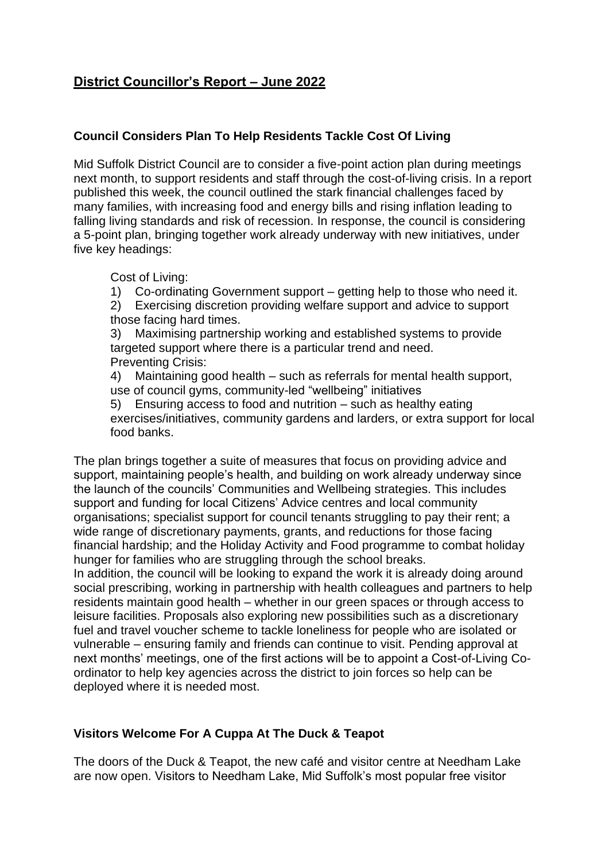# **District Councillor's Report – June 2022**

### **Council Considers Plan To Help Residents Tackle Cost Of Living**

Mid Suffolk District Council are to consider a five-point action plan during meetings next month, to support residents and staff through the cost-of-living crisis. In a report published this week, the council outlined the stark financial challenges faced by many families, with increasing food and energy bills and rising inflation leading to falling living standards and risk of recession. In response, the council is considering a 5-point plan, bringing together work already underway with new initiatives, under five key headings:

Cost of Living:

1) Co-ordinating Government support – getting help to those who need it. 2) Exercising discretion providing welfare support and advice to support those facing hard times.

3) Maximising partnership working and established systems to provide targeted support where there is a particular trend and need. Preventing Crisis:

4) Maintaining good health – such as referrals for mental health support, use of council gyms, community-led "wellbeing" initiatives

5) Ensuring access to food and nutrition – such as healthy eating exercises/initiatives, community gardens and larders, or extra support for local food banks.

The plan brings together a suite of measures that focus on providing advice and support, maintaining people's health, and building on work already underway since the launch of the councils' [Communities](https://www.babergh.gov.uk/communities/communities-strategy/) and [Wellbeing](https://www.midsuffolk.gov.uk/assets/Communities/Health-and-Wellbeing/Wellbeing-Strategy-2021-27-with-covers.pdf) strategies. This includes support and funding for local Citizens' Advice centres and local community organisations; specialist support for council tenants struggling to pay their rent; a wide range of discretionary payments, grants, and reductions for those facing financial hardship; and the Holiday Activity and Food programme to combat holiday hunger for families who are struggling through the school breaks.

In addition, the council will be looking to expand the work it is already doing around social prescribing, working in partnership with health colleagues and partners to help residents maintain good health – whether in our green spaces or through access to leisure facilities. Proposals also exploring new possibilities such as a discretionary fuel and travel voucher scheme to tackle loneliness for people who are isolated or vulnerable – ensuring family and friends can continue to visit. Pending approval at next months' meetings, one of the first actions will be to appoint a Cost-of-Living Coordinator to help key agencies across the district to join forces so help can be deployed where it is needed most.

#### **Visitors Welcome For A Cuppa At The Duck & Teapot**

The doors of the Duck & Teapot, the new café and visitor centre at Needham Lake are now open. Visitors to Needham Lake, Mid Suffolk's most popular free visitor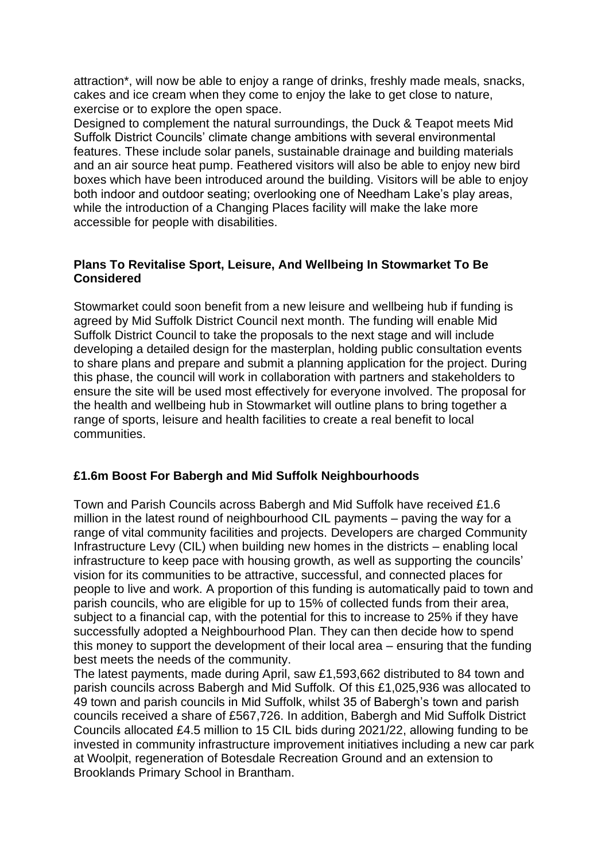attraction\*, will now be able to enjoy a range of drinks, freshly made meals, snacks, cakes and ice cream when they come to enjoy the lake to get close to nature, exercise or to explore the open space.

Designed to complement the natural surroundings, the Duck & Teapot meets Mid Suffolk District Councils' climate change ambitions with several environmental features. These include solar panels, sustainable drainage and building materials and an air source heat pump. Feathered visitors will also be able to enjoy new bird boxes which have been introduced around the building. Visitors will be able to enjoy both indoor and outdoor seating; overlooking one of Needham Lake's play areas, while the introduction of a Changing Places facility will make the lake more accessible for people with disabilities.

#### **Plans To Revitalise Sport, Leisure, And Wellbeing In Stowmarket To Be Considered**

Stowmarket could soon benefit from a new leisure and wellbeing hub if funding is agreed by Mid Suffolk District Council next month. The funding will enable Mid Suffolk District Council to take the proposals to the next stage and will include developing a detailed design for the masterplan, holding public consultation events to share plans and prepare and submit a planning application for the project. During this phase, the council will work in collaboration with partners and stakeholders to ensure the site will be used most effectively for everyone involved. [The proposal for](https://baberghmidsuffolk.moderngov.co.uk/ieListDocuments.aspx?CId=522&MId=3370&Ver=4)  [the health and wellbeing hub in Stowmarket](https://baberghmidsuffolk.moderngov.co.uk/ieListDocuments.aspx?CId=522&MId=3370&Ver=4) will outline plans to bring together a range of sports, leisure and health facilities to create a real benefit to local communities.

## **£1.6m Boost For Babergh and Mid Suffolk Neighbourhoods**

Town and Parish Councils across Babergh and Mid Suffolk have received £1.6 million in the latest round of neighbourhood CIL payments – paving the way for a range of vital community facilities and projects. Developers are charged Community Infrastructure Levy (CIL) when building new homes in the districts – enabling local infrastructure to keep pace with housing growth, as well as supporting the councils' vision for its communities to be attractive, successful, and connected places for people to live and work. A proportion of this funding is automatically paid to town and parish councils, who are eligible for up to 15% of collected funds from their area, subject to a financial cap, with the potential for this to increase to 25% if they have successfully adopted a Neighbourhood Plan. They can then decide how to spend this money to support the development of their local area – ensuring that the funding best meets the needs of the community.

The latest payments, made during April, saw £1,593,662 distributed to 84 town and parish councils across Babergh and Mid Suffolk. Of this £1,025,936 was allocated to 49 town and parish councils in Mid Suffolk, whilst 35 of Babergh's town and parish councils received a share of £567,726. In addition, Babergh and Mid Suffolk District Councils allocated £4.5 million to 15 CIL bids during 2021/22, allowing funding to be invested in community infrastructure improvement initiatives including a new car park at Woolpit, regeneration of Botesdale Recreation Ground and an extension to Brooklands Primary School in Brantham.